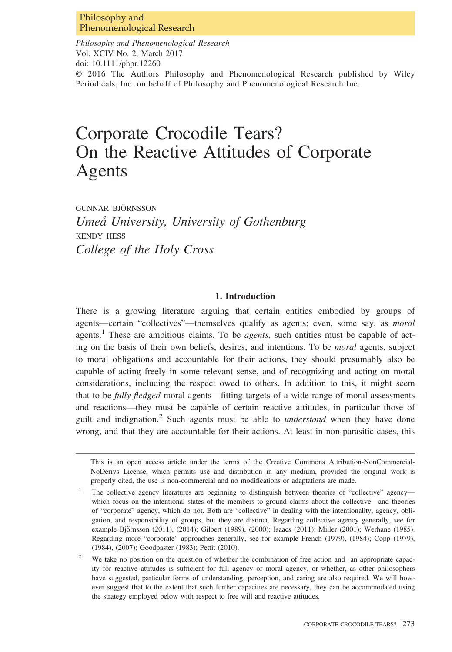Philosophy and Phenomenological Research

Philosophy and Phenomenological Research Vol. XCIV No. 2, March 2017 doi: 10.1111/phpr.12260 © 2016 The Authors Philosophy and Phenomenological Research published by Wiley Periodicals, Inc. on behalf of Philosophy and Phenomenological Research Inc.

# Corporate Crocodile Tears? On the Reactive Attitudes of Corporate Agents

GUNNAR BJÖRNSSON Umea University, University of Gothenburg KENDY HESS College of the Holy Cross

# 1. Introduction

There is a growing literature arguing that certain entities embodied by groups of agents—certain "collectives"—themselves qualify as agents; even, some say, as moral agents.<sup>1</sup> These are ambitious claims. To be *agents*, such entities must be capable of acting on the basis of their own beliefs, desires, and intentions. To be moral agents, subject to moral obligations and accountable for their actions, they should presumably also be capable of acting freely in some relevant sense, and of recognizing and acting on moral considerations, including the respect owed to others. In addition to this, it might seem that to be fully fledged moral agents—fitting targets of a wide range of moral assessments and reactions—they must be capable of certain reactive attitudes, in particular those of guilt and indignation.<sup>2</sup> Such agents must be able to *understand* when they have done wrong, and that they are accountable for their actions. At least in non-parasitic cases, this

This is an open access article under the terms of the [Creative Commons Attribution-NonCommercial-](http://creativecommons.org/licenses/by-nc-nd/4.0/)[NoDerivs](http://creativecommons.org/licenses/by-nc-nd/4.0/) License, which permits use and distribution in any medium, provided the original work is properly cited, the use is non-commercial and no modifications or adaptations are made.

The collective agency literatures are beginning to distinguish between theories of "collective" agency which focus on the intentional states of the members to ground claims about the collective—and theories of "corporate" agency, which do not. Both are "collective" in dealing with the intentionality, agency, obligation, and responsibility of groups, but they are distinct. Regarding collective agency generally, see for example Björnsson (2011), (2014); Gilbert (1989), (2000); Isaacs (2011); Miller (2001); Werhane (1985). Regarding more "corporate" approaches generally, see for example French (1979), (1984); Copp (1979), (1984), (2007); Goodpaster (1983); Pettit (2010).

<sup>&</sup>lt;sup>2</sup> We take no position on the question of whether the combination of free action and an appropriate capacity for reactive attitudes is sufficient for full agency or moral agency, or whether, as other philosophers have suggested, particular forms of understanding, perception, and caring are also required. We will however suggest that to the extent that such further capacities are necessary, they can be accommodated using the strategy employed below with respect to free will and reactive attitudes.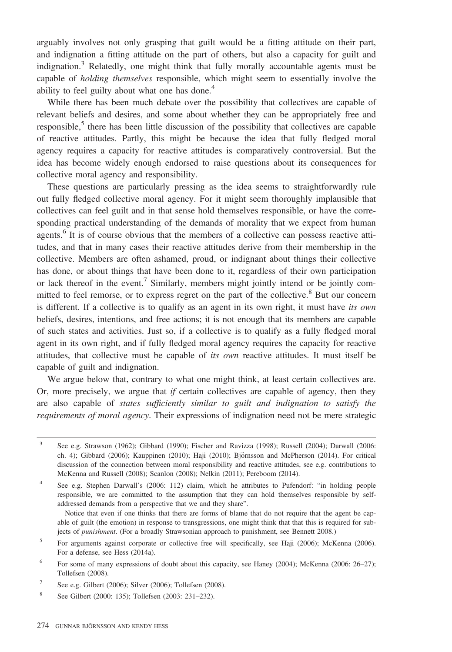arguably involves not only grasping that guilt would be a fitting attitude on their part, and indignation a fitting attitude on the part of others, but also a capacity for guilt and indignation.<sup>3</sup> Relatedly, one might think that fully morally accountable agents must be capable of holding themselves responsible, which might seem to essentially involve the ability to feel guilty about what one has done.<sup>4</sup>

While there has been much debate over the possibility that collectives are capable of relevant beliefs and desires, and some about whether they can be appropriately free and responsible, $<sup>5</sup>$  there has been little discussion of the possibility that collectives are capable</sup> of reactive attitudes. Partly, this might be because the idea that fully fledged moral agency requires a capacity for reactive attitudes is comparatively controversial. But the idea has become widely enough endorsed to raise questions about its consequences for collective moral agency and responsibility.

These questions are particularly pressing as the idea seems to straightforwardly rule out fully fledged collective moral agency. For it might seem thoroughly implausible that collectives can feel guilt and in that sense hold themselves responsible, or have the corresponding practical understanding of the demands of morality that we expect from human agents.<sup>6</sup> It is of course obvious that the members of a collective can possess reactive attitudes, and that in many cases their reactive attitudes derive from their membership in the collective. Members are often ashamed, proud, or indignant about things their collective has done, or about things that have been done to it, regardless of their own participation or lack thereof in the event.<sup>7</sup> Similarly, members might jointly intend or be jointly committed to feel remorse, or to express regret on the part of the collective.<sup>8</sup> But our concern is different. If a collective is to qualify as an agent in its own right, it must have its own beliefs, desires, intentions, and free actions; it is not enough that its members are capable of such states and activities. Just so, if a collective is to qualify as a fully fledged moral agent in its own right, and if fully fledged moral agency requires the capacity for reactive attitudes, that collective must be capable of its own reactive attitudes. It must itself be capable of guilt and indignation.

We argue below that, contrary to what one might think, at least certain collectives are. Or, more precisely, we argue that if certain collectives are capable of agency, then they are also capable of states sufficiently similar to guilt and indignation to satisfy the requirements of moral agency. Their expressions of indignation need not be mere strategic

<sup>3</sup> See e.g. Strawson (1962); Gibbard (1990); Fischer and Ravizza (1998); Russell (2004); Darwall (2006: ch. 4); Gibbard (2006); Kauppinen (2010); Haji (2010); Björnsson and McPherson (2014). For critical discussion of the connection between moral responsibility and reactive attitudes, see e.g. contributions to McKenna and Russell (2008); Scanlon (2008); Nelkin (2011); Pereboom (2014).

<sup>&</sup>lt;sup>4</sup> See e.g. Stephen Darwall's (2006: 112) claim, which he attributes to Pufendorf: "in holding people responsible, we are committed to the assumption that they can hold themselves responsible by selfaddressed demands from a perspective that we and they share".

Notice that even if one thinks that there are forms of blame that do not require that the agent be capable of guilt (the emotion) in response to transgressions, one might think that that this is required for subjects of punishment. (For a broadly Strawsonian approach to punishment, see Bennett 2008.)

<sup>&</sup>lt;sup>5</sup> For arguments against corporate or collective free will specifically, see Haji (2006); McKenna (2006). For a defense, see Hess (2014a).

<sup>6</sup> For some of many expressions of doubt about this capacity, see Haney (2004); McKenna (2006: 26–27); Tollefsen (2008).

<sup>&</sup>lt;sup>7</sup> See e.g. Gilbert (2006); Silver (2006); Tollefsen (2008).

<sup>8</sup> See Gilbert (2000: 135); Tollefsen (2003: 231–232).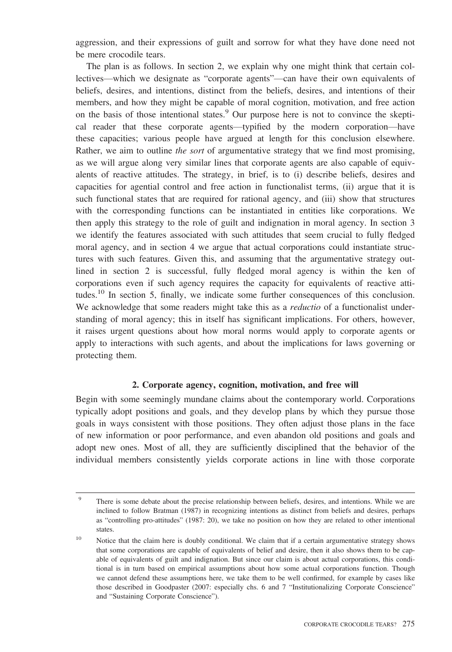aggression, and their expressions of guilt and sorrow for what they have done need not be mere crocodile tears.

The plan is as follows. In section 2, we explain why one might think that certain collectives—which we designate as "corporate agents"—can have their own equivalents of beliefs, desires, and intentions, distinct from the beliefs, desires, and intentions of their members, and how they might be capable of moral cognition, motivation, and free action on the basis of those intentional states.<sup>9</sup> Our purpose here is not to convince the skeptical reader that these corporate agents—typified by the modern corporation—have these capacities; various people have argued at length for this conclusion elsewhere. Rather, we aim to outline *the sort* of argumentative strategy that we find most promising, as we will argue along very similar lines that corporate agents are also capable of equivalents of reactive attitudes. The strategy, in brief, is to (i) describe beliefs, desires and capacities for agential control and free action in functionalist terms, (ii) argue that it is such functional states that are required for rational agency, and (iii) show that structures with the corresponding functions can be instantiated in entities like corporations. We then apply this strategy to the role of guilt and indignation in moral agency. In section 3 we identify the features associated with such attitudes that seem crucial to fully fledged moral agency, and in section 4 we argue that actual corporations could instantiate structures with such features. Given this, and assuming that the argumentative strategy outlined in section 2 is successful, fully fledged moral agency is within the ken of corporations even if such agency requires the capacity for equivalents of reactive attitudes.<sup>10</sup> In section 5, finally, we indicate some further consequences of this conclusion. We acknowledge that some readers might take this as a *reductio* of a functionalist understanding of moral agency; this in itself has significant implications. For others, however, it raises urgent questions about how moral norms would apply to corporate agents or apply to interactions with such agents, and about the implications for laws governing or protecting them.

### 2. Corporate agency, cognition, motivation, and free will

Begin with some seemingly mundane claims about the contemporary world. Corporations typically adopt positions and goals, and they develop plans by which they pursue those goals in ways consistent with those positions. They often adjust those plans in the face of new information or poor performance, and even abandon old positions and goals and adopt new ones. Most of all, they are sufficiently disciplined that the behavior of the individual members consistently yields corporate actions in line with those corporate

<sup>&</sup>lt;sup>9</sup> There is some debate about the precise relationship between beliefs, desires, and intentions. While we are inclined to follow Bratman (1987) in recognizing intentions as distinct from beliefs and desires, perhaps as "controlling pro-attitudes" (1987: 20), we take no position on how they are related to other intentional states.

<sup>&</sup>lt;sup>10</sup> Notice that the claim here is doubly conditional. We claim that if a certain argumentative strategy shows that some corporations are capable of equivalents of belief and desire, then it also shows them to be capable of equivalents of guilt and indignation. But since our claim is about actual corporations, this conditional is in turn based on empirical assumptions about how some actual corporations function. Though we cannot defend these assumptions here, we take them to be well confirmed, for example by cases like those described in Goodpaster (2007: especially chs. 6 and 7 "Institutionalizing Corporate Conscience" and "Sustaining Corporate Conscience").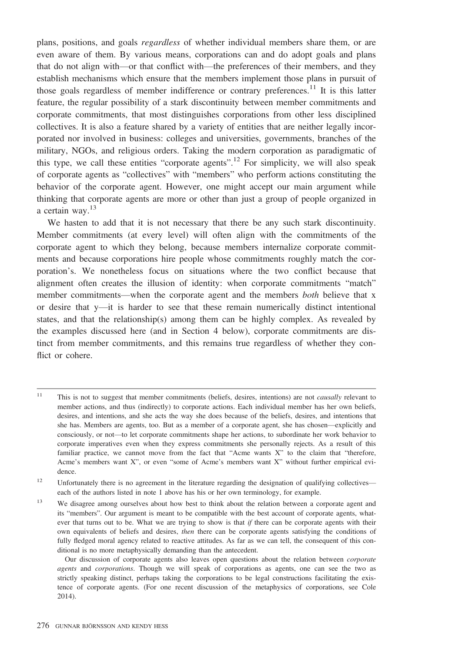plans, positions, and goals regardless of whether individual members share them, or are even aware of them. By various means, corporations can and do adopt goals and plans that do not align with—or that conflict with—the preferences of their members, and they establish mechanisms which ensure that the members implement those plans in pursuit of those goals regardless of member indifference or contrary preferences.<sup>11</sup> It is this latter feature, the regular possibility of a stark discontinuity between member commitments and corporate commitments, that most distinguishes corporations from other less disciplined collectives. It is also a feature shared by a variety of entities that are neither legally incorporated nor involved in business: colleges and universities, governments, branches of the military, NGOs, and religious orders. Taking the modern corporation as paradigmatic of this type, we call these entities "corporate agents".<sup>12</sup> For simplicity, we will also speak of corporate agents as "collectives" with "members" who perform actions constituting the behavior of the corporate agent. However, one might accept our main argument while thinking that corporate agents are more or other than just a group of people organized in a certain way.<sup>13</sup>

We hasten to add that it is not necessary that there be any such stark discontinuity. Member commitments (at every level) will often align with the commitments of the corporate agent to which they belong, because members internalize corporate commitments and because corporations hire people whose commitments roughly match the corporation's. We nonetheless focus on situations where the two conflict because that alignment often creates the illusion of identity: when corporate commitments "match" member commitments—when the corporate agent and the members *both* believe that x or desire that y—it is harder to see that these remain numerically distinct intentional states, and that the relationship(s) among them can be highly complex. As revealed by the examples discussed here (and in Section 4 below), corporate commitments are distinct from member commitments, and this remains true regardless of whether they conflict or cohere.

<sup>12</sup> Unfortunately there is no agreement in the literature regarding the designation of qualifying collectives each of the authors listed in note 1 above has his or her own terminology, for example.

<sup>13</sup> We disagree among ourselves about how best to think about the relation between a corporate agent and its "members". Our argument is meant to be compatible with the best account of corporate agents, whatever that turns out to be. What we are trying to show is that if there can be corporate agents with their own equivalents of beliefs and desires, then there can be corporate agents satisfying the conditions of fully fledged moral agency related to reactive attitudes. As far as we can tell, the consequent of this conditional is no more metaphysically demanding than the antecedent.

Our discussion of corporate agents also leaves open questions about the relation between corporate agents and corporations. Though we will speak of corporations as agents, one can see the two as strictly speaking distinct, perhaps taking the corporations to be legal constructions facilitating the existence of corporate agents. (For one recent discussion of the metaphysics of corporations, see Cole 2014).

<sup>&</sup>lt;sup>11</sup> This is not to suggest that member commitments (beliefs, desires, intentions) are not *causally* relevant to member actions, and thus (indirectly) to corporate actions. Each individual member has her own beliefs, desires, and intentions, and she acts the way she does because of the beliefs, desires, and intentions that she has. Members are agents, too. But as a member of a corporate agent, she has chosen—explicitly and consciously, or not—to let corporate commitments shape her actions, to subordinate her work behavior to corporate imperatives even when they express commitments she personally rejects. As a result of this familiar practice, we cannot move from the fact that "Acme wants X" to the claim that "therefore, Acme's members want X", or even "some of Acme's members want X" without further empirical evidence.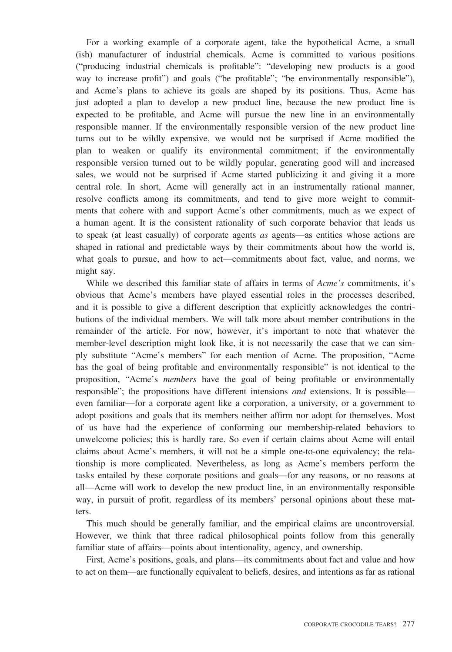For a working example of a corporate agent, take the hypothetical Acme, a small (ish) manufacturer of industrial chemicals. Acme is committed to various positions ("producing industrial chemicals is profitable": "developing new products is a good way to increase profit") and goals ("be profitable"; "be environmentally responsible"), and Acme's plans to achieve its goals are shaped by its positions. Thus, Acme has just adopted a plan to develop a new product line, because the new product line is expected to be profitable, and Acme will pursue the new line in an environmentally responsible manner. If the environmentally responsible version of the new product line turns out to be wildly expensive, we would not be surprised if Acme modified the plan to weaken or qualify its environmental commitment; if the environmentally responsible version turned out to be wildly popular, generating good will and increased sales, we would not be surprised if Acme started publicizing it and giving it a more central role. In short, Acme will generally act in an instrumentally rational manner, resolve conflicts among its commitments, and tend to give more weight to commitments that cohere with and support Acme's other commitments, much as we expect of a human agent. It is the consistent rationality of such corporate behavior that leads us to speak (at least casually) of corporate agents *as* agents—as entities whose actions are shaped in rational and predictable ways by their commitments about how the world is, what goals to pursue, and how to act—commitments about fact, value, and norms, we might say.

While we described this familiar state of affairs in terms of Acme's commitments, it's obvious that Acme's members have played essential roles in the processes described, and it is possible to give a different description that explicitly acknowledges the contributions of the individual members. We will talk more about member contributions in the remainder of the article. For now, however, it's important to note that whatever the member-level description might look like, it is not necessarily the case that we can simply substitute "Acme's members" for each mention of Acme. The proposition, "Acme has the goal of being profitable and environmentally responsible" is not identical to the proposition, "Acme's members have the goal of being profitable or environmentally responsible"; the propositions have different intensions *and* extensions. It is possible even familiar—for a corporate agent like a corporation, a university, or a government to adopt positions and goals that its members neither affirm nor adopt for themselves. Most of us have had the experience of conforming our membership-related behaviors to unwelcome policies; this is hardly rare. So even if certain claims about Acme will entail claims about Acme's members, it will not be a simple one-to-one equivalency; the relationship is more complicated. Nevertheless, as long as Acme's members perform the tasks entailed by these corporate positions and goals—for any reasons, or no reasons at all—Acme will work to develop the new product line, in an environmentally responsible way, in pursuit of profit, regardless of its members' personal opinions about these matters.

This much should be generally familiar, and the empirical claims are uncontroversial. However, we think that three radical philosophical points follow from this generally familiar state of affairs—points about intentionality, agency, and ownership.

First, Acme's positions, goals, and plans—its commitments about fact and value and how to act on them—are functionally equivalent to beliefs, desires, and intentions as far as rational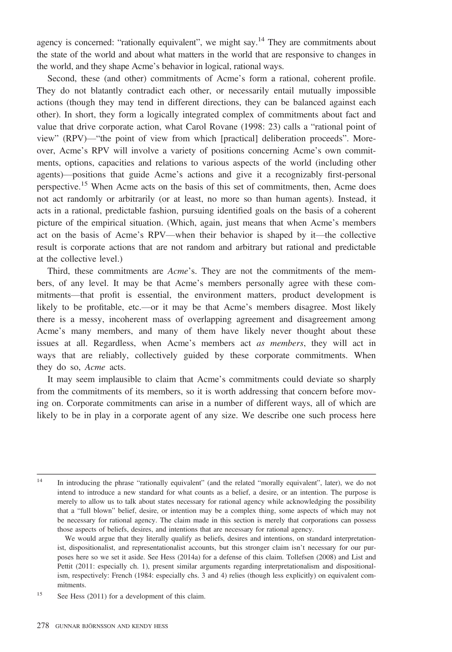agency is concerned: "rationally equivalent", we might say.<sup>14</sup> They are commitments about the state of the world and about what matters in the world that are responsive to changes in the world, and they shape Acme's behavior in logical, rational ways.

Second, these (and other) commitments of Acme's form a rational, coherent profile. They do not blatantly contradict each other, or necessarily entail mutually impossible actions (though they may tend in different directions, they can be balanced against each other). In short, they form a logically integrated complex of commitments about fact and value that drive corporate action, what Carol Rovane (1998: 23) calls a "rational point of view" (RPV)—"the point of view from which [practical] deliberation proceeds". Moreover, Acme's RPV will involve a variety of positions concerning Acme's own commitments, options, capacities and relations to various aspects of the world (including other agents)—positions that guide Acme's actions and give it a recognizably first-personal perspective.<sup>15</sup> When Acme acts on the basis of this set of commitments, then, Acme does not act randomly or arbitrarily (or at least, no more so than human agents). Instead, it acts in a rational, predictable fashion, pursuing identified goals on the basis of a coherent picture of the empirical situation. (Which, again, just means that when Acme's members act on the basis of Acme's RPV—when their behavior is shaped by it—the collective result is corporate actions that are not random and arbitrary but rational and predictable at the collective level.)

Third, these commitments are Acme's. They are not the commitments of the members, of any level. It may be that Acme's members personally agree with these commitments—that profit is essential, the environment matters, product development is likely to be profitable, etc.—or it may be that Acme's members disagree. Most likely there is a messy, incoherent mass of overlapping agreement and disagreement among Acme's many members, and many of them have likely never thought about these issues at all. Regardless, when Acme's members act as members, they will act in ways that are reliably, collectively guided by these corporate commitments. When they do so, Acme acts.

It may seem implausible to claim that Acme's commitments could deviate so sharply from the commitments of its members, so it is worth addressing that concern before moving on. Corporate commitments can arise in a number of different ways, all of which are likely to be in play in a corporate agent of any size. We describe one such process here

<sup>&</sup>lt;sup>14</sup> In introducing the phrase "rationally equivalent" (and the related "morally equivalent", later), we do not intend to introduce a new standard for what counts as a belief, a desire, or an intention. The purpose is merely to allow us to talk about states necessary for rational agency while acknowledging the possibility that a "full blown" belief, desire, or intention may be a complex thing, some aspects of which may not be necessary for rational agency. The claim made in this section is merely that corporations can possess those aspects of beliefs, desires, and intentions that are necessary for rational agency.

We would argue that they literally qualify as beliefs, desires and intentions, on standard interpretationist, dispositionalist, and representationalist accounts, but this stronger claim isn't necessary for our purposes here so we set it aside. See Hess (2014a) for a defense of this claim. Tollefsen (2008) and List and Pettit (2011: especially ch. 1), present similar arguments regarding interpretationalism and dispositionalism, respectively: French (1984: especially chs. 3 and 4) relies (though less explicitly) on equivalent commitments.

<sup>&</sup>lt;sup>15</sup> See Hess (2011) for a development of this claim.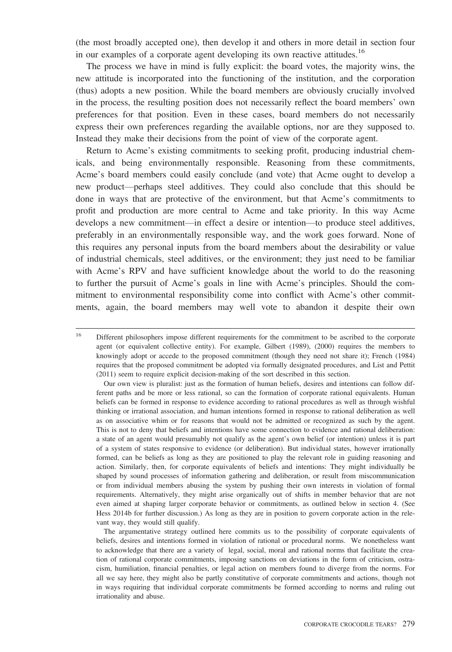(the most broadly accepted one), then develop it and others in more detail in section four in our examples of a corporate agent developing its own reactive attitudes.<sup>16</sup>

The process we have in mind is fully explicit: the board votes, the majority wins, the new attitude is incorporated into the functioning of the institution, and the corporation (thus) adopts a new position. While the board members are obviously crucially involved in the process, the resulting position does not necessarily reflect the board members' own preferences for that position. Even in these cases, board members do not necessarily express their own preferences regarding the available options, nor are they supposed to. Instead they make their decisions from the point of view of the corporate agent.

Return to Acme's existing commitments to seeking profit, producing industrial chemicals, and being environmentally responsible. Reasoning from these commitments, Acme's board members could easily conclude (and vote) that Acme ought to develop a new product—perhaps steel additives. They could also conclude that this should be done in ways that are protective of the environment, but that Acme's commitments to profit and production are more central to Acme and take priority. In this way Acme develops a new commitment—in effect a desire or intention—to produce steel additives, preferably in an environmentally responsible way, and the work goes forward. None of this requires any personal inputs from the board members about the desirability or value of industrial chemicals, steel additives, or the environment; they just need to be familiar with Acme's RPV and have sufficient knowledge about the world to do the reasoning to further the pursuit of Acme's goals in line with Acme's principles. Should the commitment to environmental responsibility come into conflict with Acme's other commitments, again, the board members may well vote to abandon it despite their own

Our own view is pluralist: just as the formation of human beliefs, desires and intentions can follow different paths and be more or less rational, so can the formation of corporate rational equivalents. Human beliefs can be formed in response to evidence according to rational procedures as well as through wishful thinking or irrational association, and human intentions formed in response to rational deliberation as well as on associative whim or for reasons that would not be admitted or recognized as such by the agent. This is not to deny that beliefs and intentions have some connection to evidence and rational deliberation: a state of an agent would presumably not qualify as the agent's own belief (or intention) unless it is part of a system of states responsive to evidence (or deliberation). But individual states, however irrationally formed, can be beliefs as long as they are positioned to play the relevant role in guiding reasoning and action. Similarly, then, for corporate equivalents of beliefs and intentions: They might individually be shaped by sound processes of information gathering and deliberation, or result from miscommunication or from individual members abusing the system by pushing their own interests in violation of formal requirements. Alternatively, they might arise organically out of shifts in member behavior that are not even aimed at shaping larger corporate behavior or commitments, as outlined below in section 4. (See Hess 2014b for further discussion.) As long as they are in position to govern corporate action in the relevant way, they would still qualify.

The argumentative strategy outlined here commits us to the possibility of corporate equivalents of beliefs, desires and intentions formed in violation of rational or procedural norms. We nonetheless want to acknowledge that there are a variety of legal, social, moral and rational norms that facilitate the creation of rational corporate commitments, imposing sanctions on deviations in the form of criticism, ostracism, humiliation, financial penalties, or legal action on members found to diverge from the norms. For all we say here, they might also be partly constitutive of corporate commitments and actions, though not in ways requiring that individual corporate commitments be formed according to norms and ruling out irrationality and abuse.

<sup>&</sup>lt;sup>16</sup> Different philosophers impose different requirements for the commitment to be ascribed to the corporate agent (or equivalent collective entity). For example, Gilbert (1989), (2000) requires the members to knowingly adopt or accede to the proposed commitment (though they need not share it); French (1984) requires that the proposed commitment be adopted via formally designated procedures, and List and Pettit (2011) seem to require explicit decision-making of the sort described in this section.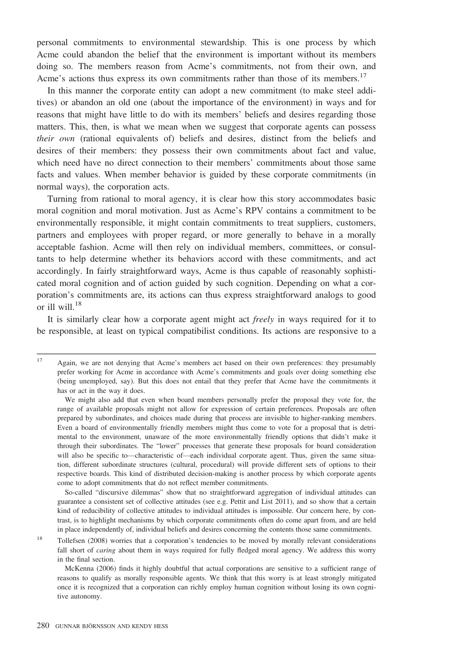personal commitments to environmental stewardship. This is one process by which Acme could abandon the belief that the environment is important without its members doing so. The members reason from Acme's commitments, not from their own, and Acme's actions thus express its own commitments rather than those of its members.<sup>17</sup>

In this manner the corporate entity can adopt a new commitment (to make steel additives) or abandon an old one (about the importance of the environment) in ways and for reasons that might have little to do with its members' beliefs and desires regarding those matters. This, then, is what we mean when we suggest that corporate agents can possess their own (rational equivalents of) beliefs and desires, distinct from the beliefs and desires of their members: they possess their own commitments about fact and value, which need have no direct connection to their members' commitments about those same facts and values. When member behavior is guided by these corporate commitments (in normal ways), the corporation acts.

Turning from rational to moral agency, it is clear how this story accommodates basic moral cognition and moral motivation. Just as Acme's RPV contains a commitment to be environmentally responsible, it might contain commitments to treat suppliers, customers, partners and employees with proper regard, or more generally to behave in a morally acceptable fashion. Acme will then rely on individual members, committees, or consultants to help determine whether its behaviors accord with these commitments, and act accordingly. In fairly straightforward ways, Acme is thus capable of reasonably sophisticated moral cognition and of action guided by such cognition. Depending on what a corporation's commitments are, its actions can thus express straightforward analogs to good or ill will.<sup>18</sup>

It is similarly clear how a corporate agent might act freely in ways required for it to be responsible, at least on typical compatibilist conditions. Its actions are responsive to a

So-called "discursive dilemmas" show that no straightforward aggregation of individual attitudes can guarantee a consistent set of collective attitudes (see e.g. Pettit and List 2011), and so show that a certain kind of reducibility of collective attitudes to individual attitudes is impossible. Our concern here, by contrast, is to highlight mechanisms by which corporate commitments often do come apart from, and are held in place independently of, individual beliefs and desires concerning the contents those same commitments.

<sup>&</sup>lt;sup>17</sup> Again, we are not denying that Acme's members act based on their own preferences: they presumably prefer working for Acme in accordance with Acme's commitments and goals over doing something else (being unemployed, say). But this does not entail that they prefer that Acme have the commitments it has or act in the way it does.

We might also add that even when board members personally prefer the proposal they vote for, the range of available proposals might not allow for expression of certain preferences. Proposals are often prepared by subordinates, and choices made during that process are invisible to higher-ranking members. Even a board of environmentally friendly members might thus come to vote for a proposal that is detrimental to the environment, unaware of the more environmentally friendly options that didn't make it through their subordinates. The "lower" processes that generate these proposals for board consideration will also be specific to—characteristic of—each individual corporate agent. Thus, given the same situation, different subordinate structures (cultural, procedural) will provide different sets of options to their respective boards. This kind of distributed decision-making is another process by which corporate agents come to adopt commitments that do not reflect member commitments.

<sup>&</sup>lt;sup>18</sup> Tollefsen (2008) worries that a corporation's tendencies to be moved by morally relevant considerations fall short of *caring* about them in ways required for fully fledged moral agency. We address this worry in the final section.

McKenna (2006) finds it highly doubtful that actual corporations are sensitive to a sufficient range of reasons to qualify as morally responsible agents. We think that this worry is at least strongly mitigated once it is recognized that a corporation can richly employ human cognition without losing its own cognitive autonomy.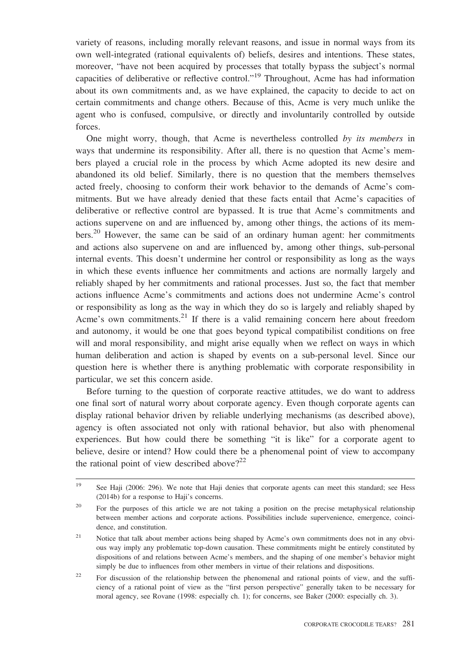variety of reasons, including morally relevant reasons, and issue in normal ways from its own well-integrated (rational equivalents of) beliefs, desires and intentions. These states, moreover, "have not been acquired by processes that totally bypass the subject's normal capacities of deliberative or reflective control."<sup>19</sup> Throughout, Acme has had information about its own commitments and, as we have explained, the capacity to decide to act on certain commitments and change others. Because of this, Acme is very much unlike the agent who is confused, compulsive, or directly and involuntarily controlled by outside forces.

One might worry, though, that Acme is nevertheless controlled by its members in ways that undermine its responsibility. After all, there is no question that Acme's members played a crucial role in the process by which Acme adopted its new desire and abandoned its old belief. Similarly, there is no question that the members themselves acted freely, choosing to conform their work behavior to the demands of Acme's commitments. But we have already denied that these facts entail that Acme's capacities of deliberative or reflective control are bypassed. It is true that Acme's commitments and actions supervene on and are influenced by, among other things, the actions of its members.<sup>20</sup> However, the same can be said of an ordinary human agent: her commitments and actions also supervene on and are influenced by, among other things, sub-personal internal events. This doesn't undermine her control or responsibility as long as the ways in which these events influence her commitments and actions are normally largely and reliably shaped by her commitments and rational processes. Just so, the fact that member actions influence Acme's commitments and actions does not undermine Acme's control or responsibility as long as the way in which they do so is largely and reliably shaped by Acme's own commitments.<sup>21</sup> If there is a valid remaining concern here about freedom and autonomy, it would be one that goes beyond typical compatibilist conditions on free will and moral responsibility, and might arise equally when we reflect on ways in which human deliberation and action is shaped by events on a sub-personal level. Since our question here is whether there is anything problematic with corporate responsibility in particular, we set this concern aside.

Before turning to the question of corporate reactive attitudes, we do want to address one final sort of natural worry about corporate agency. Even though corporate agents can display rational behavior driven by reliable underlying mechanisms (as described above), agency is often associated not only with rational behavior, but also with phenomenal experiences. But how could there be something "it is like" for a corporate agent to believe, desire or intend? How could there be a phenomenal point of view to accompany the rational point of view described above? $2^{22}$ 

<sup>&</sup>lt;sup>19</sup> See Haji (2006: 296). We note that Haji denies that corporate agents can meet this standard; see Hess (2014b) for a response to Haji's concerns.

<sup>&</sup>lt;sup>20</sup> For the purposes of this article we are not taking a position on the precise metaphysical relationship between member actions and corporate actions. Possibilities include supervenience, emergence, coincidence, and constitution.

<sup>&</sup>lt;sup>21</sup> Notice that talk about member actions being shaped by Acme's own commitments does not in any obvious way imply any problematic top-down causation. These commitments might be entirely constituted by dispositions of and relations between Acme's members, and the shaping of one member's behavior might simply be due to influences from other members in virtue of their relations and dispositions.

<sup>&</sup>lt;sup>22</sup> For discussion of the relationship between the phenomenal and rational points of view, and the sufficiency of a rational point of view as the "first person perspective" generally taken to be necessary for moral agency, see Rovane (1998: especially ch. 1); for concerns, see Baker (2000: especially ch. 3).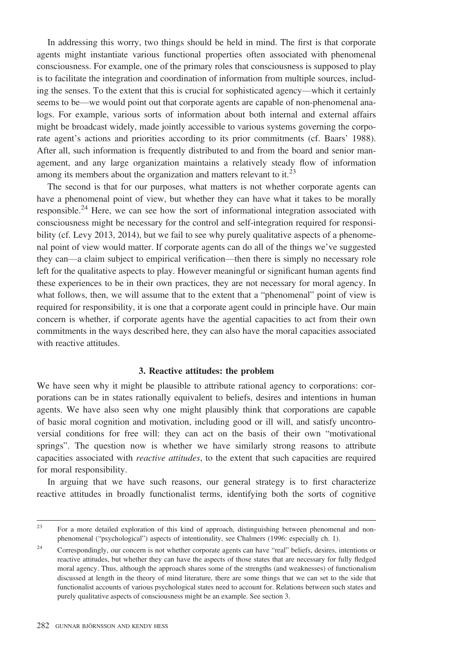In addressing this worry, two things should be held in mind. The first is that corporate agents might instantiate various functional properties often associated with phenomenal consciousness. For example, one of the primary roles that consciousness is supposed to play is to facilitate the integration and coordination of information from multiple sources, including the senses. To the extent that this is crucial for sophisticated agency—which it certainly seems to be—we would point out that corporate agents are capable of non-phenomenal analogs. For example, various sorts of information about both internal and external affairs might be broadcast widely, made jointly accessible to various systems governing the corporate agent's actions and priorities according to its prior commitments (cf. Baars' 1988). After all, such information is frequently distributed to and from the board and senior management, and any large organization maintains a relatively steady flow of information among its members about the organization and matters relevant to it.<sup>23</sup>

The second is that for our purposes, what matters is not whether corporate agents can have a phenomenal point of view, but whether they can have what it takes to be morally responsible.<sup>24</sup> Here, we can see how the sort of informational integration associated with consciousness might be necessary for the control and self-integration required for responsibility (cf. Levy 2013, 2014), but we fail to see why purely qualitative aspects of a phenomenal point of view would matter. If corporate agents can do all of the things we've suggested they can—a claim subject to empirical verification—then there is simply no necessary role left for the qualitative aspects to play. However meaningful or significant human agents find these experiences to be in their own practices, they are not necessary for moral agency. In what follows, then, we will assume that to the extent that a "phenomenal" point of view is required for responsibility, it is one that a corporate agent could in principle have. Our main concern is whether, if corporate agents have the agential capacities to act from their own commitments in the ways described here, they can also have the moral capacities associated with reactive attitudes.

#### 3. Reactive attitudes: the problem

We have seen why it might be plausible to attribute rational agency to corporations: corporations can be in states rationally equivalent to beliefs, desires and intentions in human agents. We have also seen why one might plausibly think that corporations are capable of basic moral cognition and motivation, including good or ill will, and satisfy uncontroversial conditions for free will: they can act on the basis of their own "motivational springs". The question now is whether we have similarly strong reasons to attribute capacities associated with reactive attitudes, to the extent that such capacities are required for moral responsibility.

In arguing that we have such reasons, our general strategy is to first characterize reactive attitudes in broadly functionalist terms, identifying both the sorts of cognitive

<sup>&</sup>lt;sup>23</sup> For a more detailed exploration of this kind of approach, distinguishing between phenomenal and nonphenomenal ("psychological") aspects of intentionality, see Chalmers (1996: especially ch. 1).

<sup>&</sup>lt;sup>24</sup> Correspondingly, our concern is not whether corporate agents can have "real" beliefs, desires, intentions or reactive attitudes, but whether they can have the aspects of those states that are necessary for fully fledged moral agency. Thus, although the approach shares some of the strengths (and weaknesses) of functionalism discussed at length in the theory of mind literature, there are some things that we can set to the side that functionalist accounts of various psychological states need to account for. Relations between such states and purely qualitative aspects of consciousness might be an example. See section 3.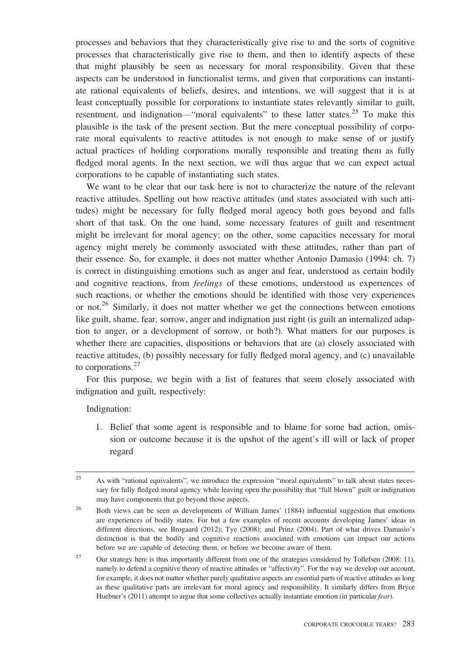processes and behaviors that they characteristically give rise to and the sorts of cognitive processes that characteristically give rise to them, and then to identify aspects of these that might plausibly be seen as necessary for moral responsibility. Given that these aspects can be understood in functionalist terms, and given that corporations can instantiate rational equivalents of beliefs, desires, and intentions, we will suggest that it is at least conceptually possible for corporations to instantiate states relevantly similar to guilt, resentment, and indignation—"moral equivalents" to these latter states.<sup>25</sup> To make this plausible is the task of the present section. But the mere conceptual possibility of corporate moral equivalents to reactive attitudes is not enough to make sense of or justify actual practices of holding corporations morally responsible and treating them as fully fledged moral agents. In the next section, we will thus argue that we can expect actual corporations to be capable of instantiating such states.

We want to be clear that our task here is not to characterize the nature of the relevant reactive attitudes. Spelling out how reactive attitudes (and states associated with such attitudes) might be necessary for fully fledged moral agency both goes beyond and falls short of that task. On the one hand, some necessary features of guilt and resentment might be irrelevant for moral agency; on the other, some capacities necessary for moral agency might merely be commonly associated with these attitudes, rather than part of their essence. So, for example, it does not matter whether Antonio Damasio (1994: ch. 7) is correct in distinguishing emotions such as anger and fear, understood as certain bodily and cognitive reactions, from feelings of these emotions, understood as experiences of such reactions, or whether the emotions should be identified with those very experiences or not.<sup>26</sup> Similarly, it does not matter whether we get the connections between emotions like guilt, shame, fear, sorrow, anger and indignation just right (is guilt an internalized adaption to anger, or a development of sorrow, or both?). What matters for our purposes is whether there are capacities, dispositions or behaviors that are (a) closely associated with reactive attitudes, (b) possibly necessary for fully fledged moral agency, and (c) unavailable to corporations.<sup>27</sup>

For this purpose, we begin with a list of features that seem closely associated with indignation and guilt, respectively:

Indignation:

1. Belief that some agent is responsible and to blame for some bad action, omission or outcome because it is the upshot of the agent's ill will or lack of proper regard

<sup>&</sup>lt;sup>25</sup> As with "rational equivalents", we introduce the expression "moral equivalents" to talk about states necessary for fully fledged moral agency while leaving open the possibility that "full blown" guilt or indignation may have components that go beyond those aspects.

<sup>&</sup>lt;sup>26</sup> Both views can be seen as developments of William James' (1884) influential suggestion that emotions are experiences of bodily states. For but a few examples of recent accounts developing James' ideas in different directions, see Brogaard (2012); Tye (2008); and Prinz (2004). Part of what drives Damasio's distinction is that the bodily and cognitive reactions associated with emotions can impact our actions before we are capable of detecting them, or before we become aware of them.

<sup>&</sup>lt;sup>27</sup> Our strategy here is thus importantly different from one of the strategies considered by Tollefsen (2008: 11), namely to defend a cognitive theory of reactive attitudes or "affectivity". For the way we develop our account, for example, it does not matter whether purely qualitative aspects are essential parts of reactive attitudes as long as these qualitative parts are irrelevant for moral agency and responsibility. It similarly differs from Bryce Huebner's (2011) attempt to argue that some collectives actually instantiate emotion (in particular fear).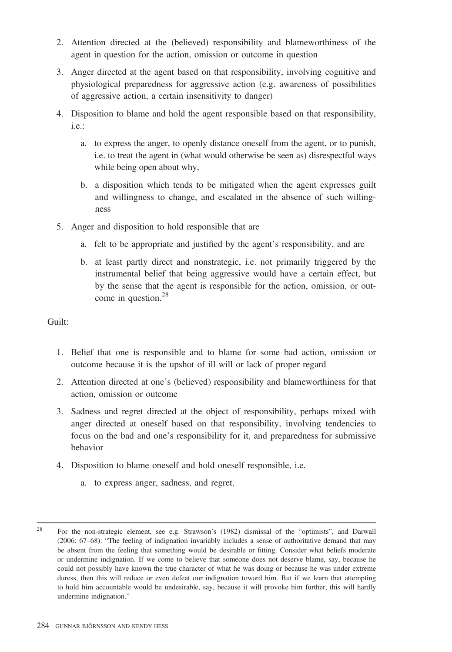- 2. Attention directed at the (believed) responsibility and blameworthiness of the agent in question for the action, omission or outcome in question
- 3. Anger directed at the agent based on that responsibility, involving cognitive and physiological preparedness for aggressive action (e.g. awareness of possibilities of aggressive action, a certain insensitivity to danger)
- 4. Disposition to blame and hold the agent responsible based on that responsibility, i.e.:
	- a. to express the anger, to openly distance oneself from the agent, or to punish, i.e. to treat the agent in (what would otherwise be seen as) disrespectful ways while being open about why,
	- b. a disposition which tends to be mitigated when the agent expresses guilt and willingness to change, and escalated in the absence of such willingness
- 5. Anger and disposition to hold responsible that are
	- a. felt to be appropriate and justified by the agent's responsibility, and are
	- b. at least partly direct and nonstrategic, i.e. not primarily triggered by the instrumental belief that being aggressive would have a certain effect, but by the sense that the agent is responsible for the action, omission, or outcome in question. $28$

Guilt:

- 1. Belief that one is responsible and to blame for some bad action, omission or outcome because it is the upshot of ill will or lack of proper regard
- 2. Attention directed at one's (believed) responsibility and blameworthiness for that action, omission or outcome
- 3. Sadness and regret directed at the object of responsibility, perhaps mixed with anger directed at oneself based on that responsibility, involving tendencies to focus on the bad and one's responsibility for it, and preparedness for submissive behavior
- 4. Disposition to blame oneself and hold oneself responsible, i.e.
	- a. to express anger, sadness, and regret,

<sup>28</sup> For the non-strategic element, see e.g. Strawson's (1982) dismissal of the "optimists", and Darwall (2006: 67–68): "The feeling of indignation invariably includes a sense of authoritative demand that may be absent from the feeling that something would be desirable or fitting. Consider what beliefs moderate or undermine indignation. If we come to believe that someone does not deserve blame, say, because he could not possibly have known the true character of what he was doing or because he was under extreme duress, then this will reduce or even defeat our indignation toward him. But if we learn that attempting to hold him accountable would be undesirable, say, because it will provoke him further, this will hardly undermine indignation."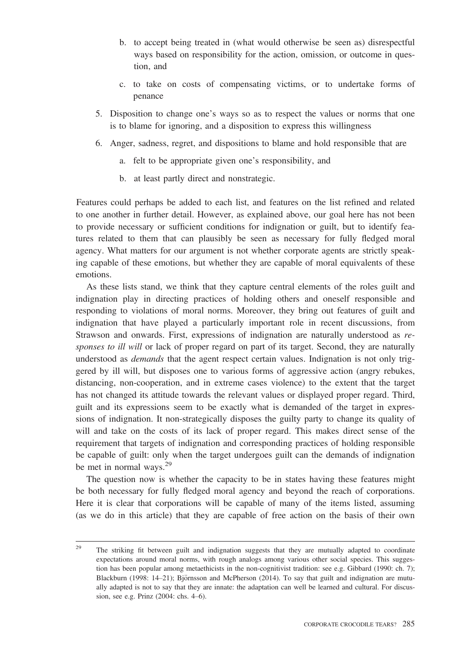- b. to accept being treated in (what would otherwise be seen as) disrespectful ways based on responsibility for the action, omission, or outcome in question, and
- c. to take on costs of compensating victims, or to undertake forms of penance
- 5. Disposition to change one's ways so as to respect the values or norms that one is to blame for ignoring, and a disposition to express this willingness
- 6. Anger, sadness, regret, and dispositions to blame and hold responsible that are
	- a. felt to be appropriate given one's responsibility, and
	- b. at least partly direct and nonstrategic.

Features could perhaps be added to each list, and features on the list refined and related to one another in further detail. However, as explained above, our goal here has not been to provide necessary or sufficient conditions for indignation or guilt, but to identify features related to them that can plausibly be seen as necessary for fully fledged moral agency. What matters for our argument is not whether corporate agents are strictly speaking capable of these emotions, but whether they are capable of moral equivalents of these emotions.

As these lists stand, we think that they capture central elements of the roles guilt and indignation play in directing practices of holding others and oneself responsible and responding to violations of moral norms. Moreover, they bring out features of guilt and indignation that have played a particularly important role in recent discussions, from Strawson and onwards. First, expressions of indignation are naturally understood as responses to ill will or lack of proper regard on part of its target. Second, they are naturally understood as *demands* that the agent respect certain values. Indignation is not only triggered by ill will, but disposes one to various forms of aggressive action (angry rebukes, distancing, non-cooperation, and in extreme cases violence) to the extent that the target has not changed its attitude towards the relevant values or displayed proper regard. Third, guilt and its expressions seem to be exactly what is demanded of the target in expressions of indignation. It non-strategically disposes the guilty party to change its quality of will and take on the costs of its lack of proper regard. This makes direct sense of the requirement that targets of indignation and corresponding practices of holding responsible be capable of guilt: only when the target undergoes guilt can the demands of indignation be met in normal ways.<sup>29</sup>

The question now is whether the capacity to be in states having these features might be both necessary for fully fledged moral agency and beyond the reach of corporations. Here it is clear that corporations will be capable of many of the items listed, assuming (as we do in this article) that they are capable of free action on the basis of their own

<sup>&</sup>lt;sup>29</sup> The striking fit between guilt and indignation suggests that they are mutually adapted to coordinate expectations around moral norms, with rough analogs among various other social species. This suggestion has been popular among metaethicists in the non-cognitivist tradition: see e.g. Gibbard (1990: ch. 7); Blackburn (1998: 14–21); Björnsson and McPherson (2014). To say that guilt and indignation are mutually adapted is not to say that they are innate: the adaptation can well be learned and cultural. For discussion, see e.g. Prinz (2004: chs. 4–6).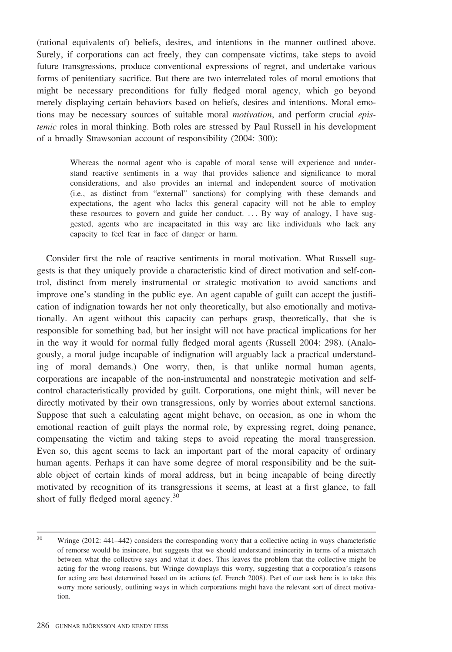(rational equivalents of) beliefs, desires, and intentions in the manner outlined above. Surely, if corporations can act freely, they can compensate victims, take steps to avoid future transgressions, produce conventional expressions of regret, and undertake various forms of penitentiary sacrifice. But there are two interrelated roles of moral emotions that might be necessary preconditions for fully fledged moral agency, which go beyond merely displaying certain behaviors based on beliefs, desires and intentions. Moral emotions may be necessary sources of suitable moral *motivation*, and perform crucial *epis*temic roles in moral thinking. Both roles are stressed by Paul Russell in his development of a broadly Strawsonian account of responsibility (2004: 300):

Whereas the normal agent who is capable of moral sense will experience and understand reactive sentiments in a way that provides salience and significance to moral considerations, and also provides an internal and independent source of motivation (i.e., as distinct from "external" sanctions) for complying with these demands and expectations, the agent who lacks this general capacity will not be able to employ these resources to govern and guide her conduct. ... By way of analogy, I have suggested, agents who are incapacitated in this way are like individuals who lack any capacity to feel fear in face of danger or harm.

Consider first the role of reactive sentiments in moral motivation. What Russell suggests is that they uniquely provide a characteristic kind of direct motivation and self-control, distinct from merely instrumental or strategic motivation to avoid sanctions and improve one's standing in the public eye. An agent capable of guilt can accept the justification of indignation towards her not only theoretically, but also emotionally and motivationally. An agent without this capacity can perhaps grasp, theoretically, that she is responsible for something bad, but her insight will not have practical implications for her in the way it would for normal fully fledged moral agents (Russell 2004: 298). (Analogously, a moral judge incapable of indignation will arguably lack a practical understanding of moral demands.) One worry, then, is that unlike normal human agents, corporations are incapable of the non-instrumental and nonstrategic motivation and selfcontrol characteristically provided by guilt. Corporations, one might think, will never be directly motivated by their own transgressions, only by worries about external sanctions. Suppose that such a calculating agent might behave, on occasion, as one in whom the emotional reaction of guilt plays the normal role, by expressing regret, doing penance, compensating the victim and taking steps to avoid repeating the moral transgression. Even so, this agent seems to lack an important part of the moral capacity of ordinary human agents. Perhaps it can have some degree of moral responsibility and be the suitable object of certain kinds of moral address, but in being incapable of being directly motivated by recognition of its transgressions it seems, at least at a first glance, to fall short of fully fledged moral agency.<sup>30</sup>

<sup>&</sup>lt;sup>30</sup> Wringe (2012: 441–442) considers the corresponding worry that a collective acting in ways characteristic of remorse would be insincere, but suggests that we should understand insincerity in terms of a mismatch between what the collective says and what it does. This leaves the problem that the collective might be acting for the wrong reasons, but Wringe downplays this worry, suggesting that a corporation's reasons for acting are best determined based on its actions (cf. French 2008). Part of our task here is to take this worry more seriously, outlining ways in which corporations might have the relevant sort of direct motivation.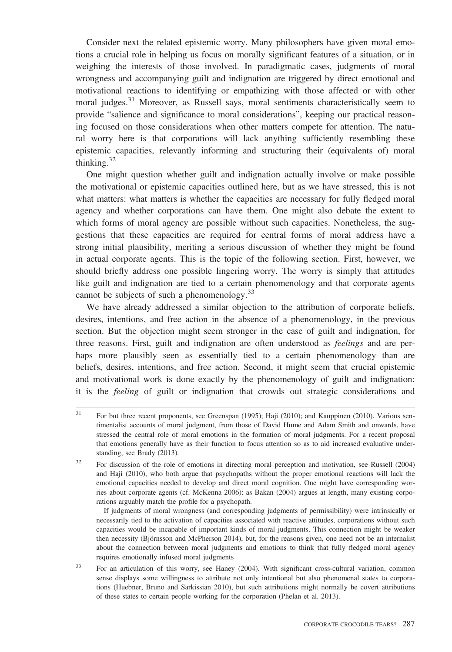Consider next the related epistemic worry. Many philosophers have given moral emotions a crucial role in helping us focus on morally significant features of a situation, or in weighing the interests of those involved. In paradigmatic cases, judgments of moral wrongness and accompanying guilt and indignation are triggered by direct emotional and motivational reactions to identifying or empathizing with those affected or with other moral judges.<sup>31</sup> Moreover, as Russell says, moral sentiments characteristically seem to provide "salience and significance to moral considerations", keeping our practical reasoning focused on those considerations when other matters compete for attention. The natural worry here is that corporations will lack anything sufficiently resembling these epistemic capacities, relevantly informing and structuring their (equivalents of) moral thinking.<sup>32</sup>

One might question whether guilt and indignation actually involve or make possible the motivational or epistemic capacities outlined here, but as we have stressed, this is not what matters: what matters is whether the capacities are necessary for fully fledged moral agency and whether corporations can have them. One might also debate the extent to which forms of moral agency are possible without such capacities. Nonetheless, the suggestions that these capacities are required for central forms of moral address have a strong initial plausibility, meriting a serious discussion of whether they might be found in actual corporate agents. This is the topic of the following section. First, however, we should briefly address one possible lingering worry. The worry is simply that attitudes like guilt and indignation are tied to a certain phenomenology and that corporate agents cannot be subjects of such a phenomenology.<sup>33</sup>

We have already addressed a similar objection to the attribution of corporate beliefs, desires, intentions, and free action in the absence of a phenomenology, in the previous section. But the objection might seem stronger in the case of guilt and indignation, for three reasons. First, guilt and indignation are often understood as feelings and are perhaps more plausibly seen as essentially tied to a certain phenomenology than are beliefs, desires, intentions, and free action. Second, it might seem that crucial epistemic and motivational work is done exactly by the phenomenology of guilt and indignation: it is the feeling of guilt or indignation that crowds out strategic considerations and

If judgments of moral wrongness (and corresponding judgments of permissibility) were intrinsically or necessarily tied to the activation of capacities associated with reactive attitudes, corporations without such capacities would be incapable of important kinds of moral judgments. This connection might be weaker then necessity (Björnsson and McPherson 2014), but, for the reasons given, one need not be an internalist about the connection between moral judgments and emotions to think that fully fledged moral agency requires emotionally infused moral judgments

<sup>33</sup> For an articulation of this worry, see Haney (2004). With significant cross-cultural variation, common sense displays some willingness to attribute not only intentional but also phenomenal states to corporations (Huebner, Bruno and Sarkissian 2010), but such attributions might normally be covert attributions of these states to certain people working for the corporation (Phelan et al. 2013).

<sup>&</sup>lt;sup>31</sup> For but three recent proponents, see Greenspan (1995); Haji (2010); and Kauppinen (2010). Various sentimentalist accounts of moral judgment, from those of David Hume and Adam Smith and onwards, have stressed the central role of moral emotions in the formation of moral judgments. For a recent proposal that emotions generally have as their function to focus attention so as to aid increased evaluative understanding, see Brady (2013).

<sup>&</sup>lt;sup>32</sup> For discussion of the role of emotions in directing moral perception and motivation, see Russell (2004) and Haji (2010), who both argue that psychopaths without the proper emotional reactions will lack the emotional capacities needed to develop and direct moral cognition. One might have corresponding worries about corporate agents (cf. McKenna 2006): as Bakan (2004) argues at length, many existing corporations arguably match the profile for a psychopath.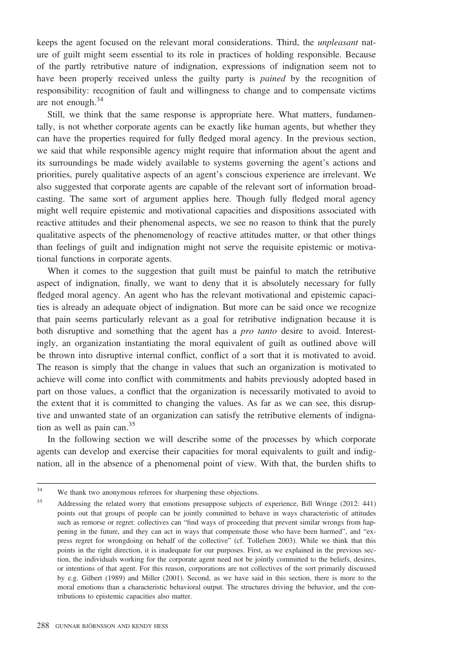keeps the agent focused on the relevant moral considerations. Third, the unpleasant nature of guilt might seem essential to its role in practices of holding responsible. Because of the partly retributive nature of indignation, expressions of indignation seem not to have been properly received unless the guilty party is *pained* by the recognition of responsibility: recognition of fault and willingness to change and to compensate victims are not enough.<sup>34</sup>

Still, we think that the same response is appropriate here. What matters, fundamentally, is not whether corporate agents can be exactly like human agents, but whether they can have the properties required for fully fledged moral agency. In the previous section, we said that while responsible agency might require that information about the agent and its surroundings be made widely available to systems governing the agent's actions and priorities, purely qualitative aspects of an agent's conscious experience are irrelevant. We also suggested that corporate agents are capable of the relevant sort of information broadcasting. The same sort of argument applies here. Though fully fledged moral agency might well require epistemic and motivational capacities and dispositions associated with reactive attitudes and their phenomenal aspects, we see no reason to think that the purely qualitative aspects of the phenomenology of reactive attitudes matter, or that other things than feelings of guilt and indignation might not serve the requisite epistemic or motivational functions in corporate agents.

When it comes to the suggestion that guilt must be painful to match the retributive aspect of indignation, finally, we want to deny that it is absolutely necessary for fully fledged moral agency. An agent who has the relevant motivational and epistemic capacities is already an adequate object of indignation. But more can be said once we recognize that pain seems particularly relevant as a goal for retributive indignation because it is both disruptive and something that the agent has a *pro tanto* desire to avoid. Interestingly, an organization instantiating the moral equivalent of guilt as outlined above will be thrown into disruptive internal conflict, conflict of a sort that it is motivated to avoid. The reason is simply that the change in values that such an organization is motivated to achieve will come into conflict with commitments and habits previously adopted based in part on those values, a conflict that the organization is necessarily motivated to avoid to the extent that it is committed to changing the values. As far as we can see, this disruptive and unwanted state of an organization can satisfy the retributive elements of indignation as well as pain can. $35$ 

In the following section we will describe some of the processes by which corporate agents can develop and exercise their capacities for moral equivalents to guilt and indignation, all in the absence of a phenomenal point of view. With that, the burden shifts to

<sup>&</sup>lt;sup>34</sup> We thank two anonymous referees for sharpening these objections.

<sup>&</sup>lt;sup>35</sup> Addressing the related worry that emotions presuppose subjects of experience, Bill Wringe (2012: 441) points out that groups of people can be jointly committed to behave in ways characteristic of attitudes such as remorse or regret: collectives can "find ways of proceeding that prevent similar wrongs from happening in the future, and they can act in ways that compensate those who have been harmed", and "express regret for wrongdoing on behalf of the collective" (cf. Tollefsen 2003). While we think that this points in the right direction, it is inadequate for our purposes. First, as we explained in the previous section, the individuals working for the corporate agent need not be jointly committed to the beliefs, desires, or intentions of that agent. For this reason, corporations are not collectives of the sort primarily discussed by e.g. Gilbert (1989) and Miller (2001). Second, as we have said in this section, there is more to the moral emotions than a characteristic behavioral output. The structures driving the behavior, and the contributions to epistemic capacities also matter.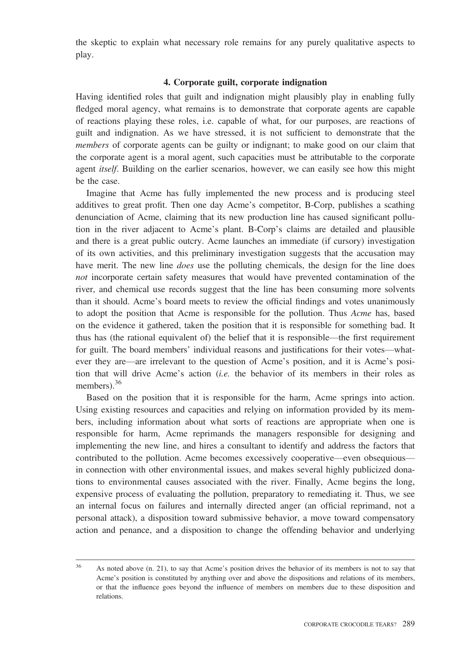the skeptic to explain what necessary role remains for any purely qualitative aspects to play.

# 4. Corporate guilt, corporate indignation

Having identified roles that guilt and indignation might plausibly play in enabling fully fledged moral agency, what remains is to demonstrate that corporate agents are capable of reactions playing these roles, i.e. capable of what, for our purposes, are reactions of guilt and indignation. As we have stressed, it is not sufficient to demonstrate that the members of corporate agents can be guilty or indignant; to make good on our claim that the corporate agent is a moral agent, such capacities must be attributable to the corporate agent itself. Building on the earlier scenarios, however, we can easily see how this might be the case.

Imagine that Acme has fully implemented the new process and is producing steel additives to great profit. Then one day Acme's competitor, B-Corp, publishes a scathing denunciation of Acme, claiming that its new production line has caused significant pollution in the river adjacent to Acme's plant. B-Corp's claims are detailed and plausible and there is a great public outcry. Acme launches an immediate (if cursory) investigation of its own activities, and this preliminary investigation suggests that the accusation may have merit. The new line *does* use the polluting chemicals, the design for the line does not incorporate certain safety measures that would have prevented contamination of the river, and chemical use records suggest that the line has been consuming more solvents than it should. Acme's board meets to review the official findings and votes unanimously to adopt the position that Acme is responsible for the pollution. Thus Acme has, based on the evidence it gathered, taken the position that it is responsible for something bad. It thus has (the rational equivalent of) the belief that it is responsible—the first requirement for guilt. The board members' individual reasons and justifications for their votes—whatever they are—are irrelevant to the question of Acme's position, and it is Acme's position that will drive Acme's action (i.e. the behavior of its members in their roles as members).<sup>36</sup>

Based on the position that it is responsible for the harm, Acme springs into action. Using existing resources and capacities and relying on information provided by its members, including information about what sorts of reactions are appropriate when one is responsible for harm, Acme reprimands the managers responsible for designing and implementing the new line, and hires a consultant to identify and address the factors that contributed to the pollution. Acme becomes excessively cooperative—even obsequious in connection with other environmental issues, and makes several highly publicized donations to environmental causes associated with the river. Finally, Acme begins the long, expensive process of evaluating the pollution, preparatory to remediating it. Thus, we see an internal focus on failures and internally directed anger (an official reprimand, not a personal attack), a disposition toward submissive behavior, a move toward compensatory action and penance, and a disposition to change the offending behavior and underlying

<sup>&</sup>lt;sup>36</sup> As noted above (n. 21), to say that Acme's position drives the behavior of its members is not to say that Acme's position is constituted by anything over and above the dispositions and relations of its members, or that the influence goes beyond the influence of members on members due to these disposition and relations.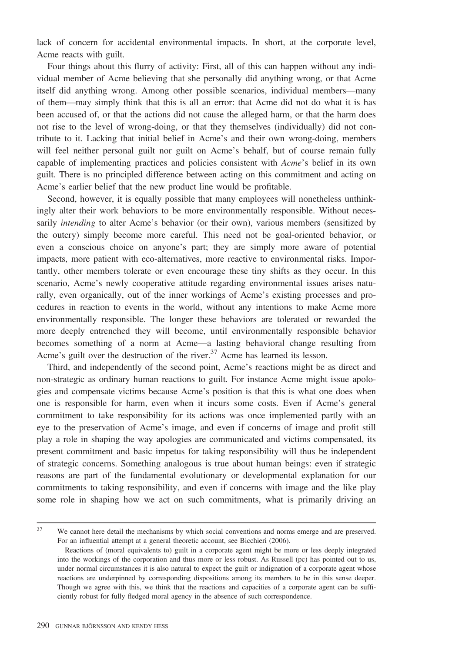lack of concern for accidental environmental impacts. In short, at the corporate level, Acme reacts with guilt.

Four things about this flurry of activity: First, all of this can happen without any individual member of Acme believing that she personally did anything wrong, or that Acme itself did anything wrong. Among other possible scenarios, individual members—many of them—may simply think that this is all an error: that Acme did not do what it is has been accused of, or that the actions did not cause the alleged harm, or that the harm does not rise to the level of wrong-doing, or that they themselves (individually) did not contribute to it. Lacking that initial belief in Acme's and their own wrong-doing, members will feel neither personal guilt nor guilt on Acme's behalf, but of course remain fully capable of implementing practices and policies consistent with Acme's belief in its own guilt. There is no principled difference between acting on this commitment and acting on Acme's earlier belief that the new product line would be profitable.

Second, however, it is equally possible that many employees will nonetheless unthinkingly alter their work behaviors to be more environmentally responsible. Without necessarily *intending* to alter Acme's behavior (or their own), various members (sensitized by the outcry) simply become more careful. This need not be goal-oriented behavior, or even a conscious choice on anyone's part; they are simply more aware of potential impacts, more patient with eco-alternatives, more reactive to environmental risks. Importantly, other members tolerate or even encourage these tiny shifts as they occur. In this scenario, Acme's newly cooperative attitude regarding environmental issues arises naturally, even organically, out of the inner workings of Acme's existing processes and procedures in reaction to events in the world, without any intentions to make Acme more environmentally responsible. The longer these behaviors are tolerated or rewarded the more deeply entrenched they will become, until environmentally responsible behavior becomes something of a norm at Acme—a lasting behavioral change resulting from Acme's guilt over the destruction of the river.<sup>37</sup> Acme has learned its lesson.

Third, and independently of the second point, Acme's reactions might be as direct and non-strategic as ordinary human reactions to guilt. For instance Acme might issue apologies and compensate victims because Acme's position is that this is what one does when one is responsible for harm, even when it incurs some costs. Even if Acme's general commitment to take responsibility for its actions was once implemented partly with an eye to the preservation of Acme's image, and even if concerns of image and profit still play a role in shaping the way apologies are communicated and victims compensated, its present commitment and basic impetus for taking responsibility will thus be independent of strategic concerns. Something analogous is true about human beings: even if strategic reasons are part of the fundamental evolutionary or developmental explanation for our commitments to taking responsibility, and even if concerns with image and the like play some role in shaping how we act on such commitments, what is primarily driving an

<sup>&</sup>lt;sup>37</sup> We cannot here detail the mechanisms by which social conventions and norms emerge and are preserved. For an influential attempt at a general theoretic account, see Bicchieri (2006).

Reactions of (moral equivalents to) guilt in a corporate agent might be more or less deeply integrated into the workings of the corporation and thus more or less robust. As Russell (pc) has pointed out to us, under normal circumstances it is also natural to expect the guilt or indignation of a corporate agent whose reactions are underpinned by corresponding dispositions among its members to be in this sense deeper. Though we agree with this, we think that the reactions and capacities of a corporate agent can be sufficiently robust for fully fledged moral agency in the absence of such correspondence.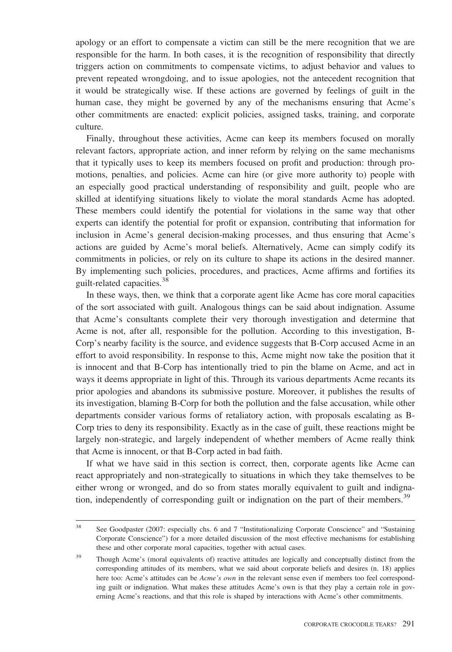apology or an effort to compensate a victim can still be the mere recognition that we are responsible for the harm. In both cases, it is the recognition of responsibility that directly triggers action on commitments to compensate victims, to adjust behavior and values to prevent repeated wrongdoing, and to issue apologies, not the antecedent recognition that it would be strategically wise. If these actions are governed by feelings of guilt in the human case, they might be governed by any of the mechanisms ensuring that Acme's other commitments are enacted: explicit policies, assigned tasks, training, and corporate culture.

Finally, throughout these activities, Acme can keep its members focused on morally relevant factors, appropriate action, and inner reform by relying on the same mechanisms that it typically uses to keep its members focused on profit and production: through promotions, penalties, and policies. Acme can hire (or give more authority to) people with an especially good practical understanding of responsibility and guilt, people who are skilled at identifying situations likely to violate the moral standards Acme has adopted. These members could identify the potential for violations in the same way that other experts can identify the potential for profit or expansion, contributing that information for inclusion in Acme's general decision-making processes, and thus ensuring that Acme's actions are guided by Acme's moral beliefs. Alternatively, Acme can simply codify its commitments in policies, or rely on its culture to shape its actions in the desired manner. By implementing such policies, procedures, and practices, Acme affirms and fortifies its guilt-related capacities.<sup>38</sup>

In these ways, then, we think that a corporate agent like Acme has core moral capacities of the sort associated with guilt. Analogous things can be said about indignation. Assume that Acme's consultants complete their very thorough investigation and determine that Acme is not, after all, responsible for the pollution. According to this investigation, B-Corp's nearby facility is the source, and evidence suggests that B-Corp accused Acme in an effort to avoid responsibility. In response to this, Acme might now take the position that it is innocent and that B-Corp has intentionally tried to pin the blame on Acme, and act in ways it deems appropriate in light of this. Through its various departments Acme recants its prior apologies and abandons its submissive posture. Moreover, it publishes the results of its investigation, blaming B-Corp for both the pollution and the false accusation, while other departments consider various forms of retaliatory action, with proposals escalating as B-Corp tries to deny its responsibility. Exactly as in the case of guilt, these reactions might be largely non-strategic, and largely independent of whether members of Acme really think that Acme is innocent, or that B-Corp acted in bad faith.

If what we have said in this section is correct, then, corporate agents like Acme can react appropriately and non-strategically to situations in which they take themselves to be either wrong or wronged, and do so from states morally equivalent to guilt and indignation, independently of corresponding guilt or indignation on the part of their members.<sup>39</sup>

<sup>&</sup>lt;sup>38</sup> See Goodpaster (2007: especially chs. 6 and 7 "Institutionalizing Corporate Conscience" and "Sustaining Corporate Conscience") for a more detailed discussion of the most effective mechanisms for establishing these and other corporate moral capacities, together with actual cases.

<sup>&</sup>lt;sup>39</sup> Though Acme's (moral equivalents of) reactive attitudes are logically and conceptually distinct from the corresponding attitudes of its members, what we said about corporate beliefs and desires (n. 18) applies here too: Acme's attitudes can be Acme's own in the relevant sense even if members too feel corresponding guilt or indignation. What makes these attitudes Acme's own is that they play a certain role in governing Acme's reactions, and that this role is shaped by interactions with Acme's other commitments.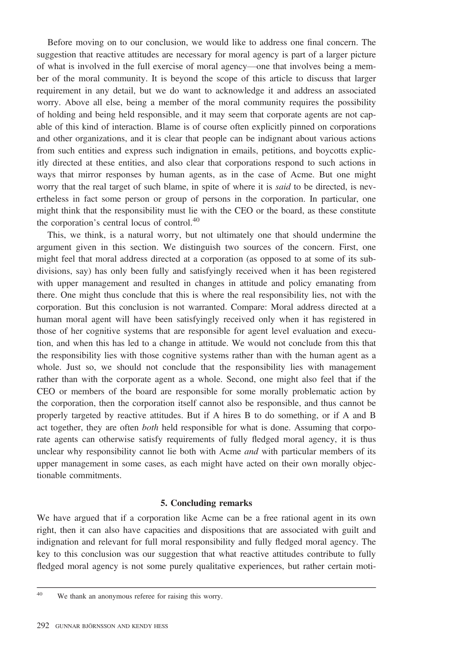Before moving on to our conclusion, we would like to address one final concern. The suggestion that reactive attitudes are necessary for moral agency is part of a larger picture of what is involved in the full exercise of moral agency—one that involves being a member of the moral community. It is beyond the scope of this article to discuss that larger requirement in any detail, but we do want to acknowledge it and address an associated worry. Above all else, being a member of the moral community requires the possibility of holding and being held responsible, and it may seem that corporate agents are not capable of this kind of interaction. Blame is of course often explicitly pinned on corporations and other organizations, and it is clear that people can be indignant about various actions from such entities and express such indignation in emails, petitions, and boycotts explicitly directed at these entities, and also clear that corporations respond to such actions in ways that mirror responses by human agents, as in the case of Acme. But one might worry that the real target of such blame, in spite of where it is *said* to be directed, is nevertheless in fact some person or group of persons in the corporation. In particular, one might think that the responsibility must lie with the CEO or the board, as these constitute the corporation's central locus of control.<sup>40</sup>

This, we think, is a natural worry, but not ultimately one that should undermine the argument given in this section. We distinguish two sources of the concern. First, one might feel that moral address directed at a corporation (as opposed to at some of its subdivisions, say) has only been fully and satisfyingly received when it has been registered with upper management and resulted in changes in attitude and policy emanating from there. One might thus conclude that this is where the real responsibility lies, not with the corporation. But this conclusion is not warranted. Compare: Moral address directed at a human moral agent will have been satisfyingly received only when it has registered in those of her cognitive systems that are responsible for agent level evaluation and execution, and when this has led to a change in attitude. We would not conclude from this that the responsibility lies with those cognitive systems rather than with the human agent as a whole. Just so, we should not conclude that the responsibility lies with management rather than with the corporate agent as a whole. Second, one might also feel that if the CEO or members of the board are responsible for some morally problematic action by the corporation, then the corporation itself cannot also be responsible, and thus cannot be properly targeted by reactive attitudes. But if A hires B to do something, or if A and B act together, they are often both held responsible for what is done. Assuming that corporate agents can otherwise satisfy requirements of fully fledged moral agency, it is thus unclear why responsibility cannot lie both with Acme *and* with particular members of its upper management in some cases, as each might have acted on their own morally objectionable commitments.

### 5. Concluding remarks

We have argued that if a corporation like Acme can be a free rational agent in its own right, then it can also have capacities and dispositions that are associated with guilt and indignation and relevant for full moral responsibility and fully fledged moral agency. The key to this conclusion was our suggestion that what reactive attitudes contribute to fully fledged moral agency is not some purely qualitative experiences, but rather certain moti-

<sup>40</sup> We thank an anonymous referee for raising this worry.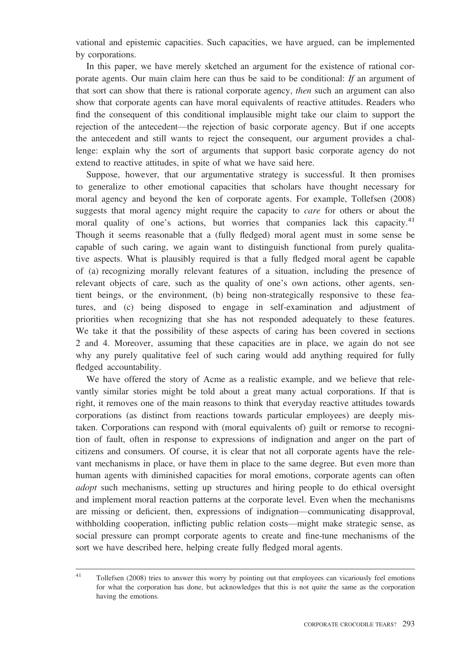vational and epistemic capacities. Such capacities, we have argued, can be implemented by corporations.

In this paper, we have merely sketched an argument for the existence of rational corporate agents. Our main claim here can thus be said to be conditional: If an argument of that sort can show that there is rational corporate agency, then such an argument can also show that corporate agents can have moral equivalents of reactive attitudes. Readers who find the consequent of this conditional implausible might take our claim to support the rejection of the antecedent—the rejection of basic corporate agency. But if one accepts the antecedent and still wants to reject the consequent, our argument provides a challenge: explain why the sort of arguments that support basic corporate agency do not extend to reactive attitudes, in spite of what we have said here.

Suppose, however, that our argumentative strategy is successful. It then promises to generalize to other emotional capacities that scholars have thought necessary for moral agency and beyond the ken of corporate agents. For example, Tollefsen (2008) suggests that moral agency might require the capacity to care for others or about the moral quality of one's actions, but worries that companies lack this capacity.<sup>41</sup> Though it seems reasonable that a (fully fledged) moral agent must in some sense be capable of such caring, we again want to distinguish functional from purely qualitative aspects. What is plausibly required is that a fully fledged moral agent be capable of (a) recognizing morally relevant features of a situation, including the presence of relevant objects of care, such as the quality of one's own actions, other agents, sentient beings, or the environment, (b) being non-strategically responsive to these features, and (c) being disposed to engage in self-examination and adjustment of priorities when recognizing that she has not responded adequately to these features. We take it that the possibility of these aspects of caring has been covered in sections 2 and 4. Moreover, assuming that these capacities are in place, we again do not see why any purely qualitative feel of such caring would add anything required for fully fledged accountability.

We have offered the story of Acme as a realistic example, and we believe that relevantly similar stories might be told about a great many actual corporations. If that is right, it removes one of the main reasons to think that everyday reactive attitudes towards corporations (as distinct from reactions towards particular employees) are deeply mistaken. Corporations can respond with (moral equivalents of) guilt or remorse to recognition of fault, often in response to expressions of indignation and anger on the part of citizens and consumers. Of course, it is clear that not all corporate agents have the relevant mechanisms in place, or have them in place to the same degree. But even more than human agents with diminished capacities for moral emotions, corporate agents can often *adopt* such mechanisms, setting up structures and hiring people to do ethical oversight and implement moral reaction patterns at the corporate level. Even when the mechanisms are missing or deficient, then, expressions of indignation—communicating disapproval, withholding cooperation, inflicting public relation costs—might make strategic sense, as social pressure can prompt corporate agents to create and fine-tune mechanisms of the sort we have described here, helping create fully fledged moral agents.

<sup>&</sup>lt;sup>41</sup> Tollefsen (2008) tries to answer this worry by pointing out that employees can vicariously feel emotions for what the corporation has done, but acknowledges that this is not quite the same as the corporation having the emotions.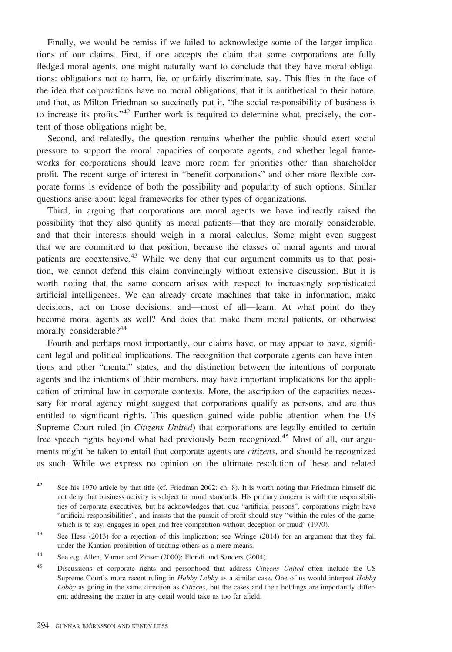Finally, we would be remiss if we failed to acknowledge some of the larger implications of our claims. First, if one accepts the claim that some corporations are fully fledged moral agents, one might naturally want to conclude that they have moral obligations: obligations not to harm, lie, or unfairly discriminate, say. This flies in the face of the idea that corporations have no moral obligations, that it is antithetical to their nature, and that, as Milton Friedman so succinctly put it, "the social responsibility of business is to increase its profits."<sup>42</sup> Further work is required to determine what, precisely, the content of those obligations might be.

Second, and relatedly, the question remains whether the public should exert social pressure to support the moral capacities of corporate agents, and whether legal frameworks for corporations should leave more room for priorities other than shareholder profit. The recent surge of interest in "benefit corporations" and other more flexible corporate forms is evidence of both the possibility and popularity of such options. Similar questions arise about legal frameworks for other types of organizations.

Third, in arguing that corporations are moral agents we have indirectly raised the possibility that they also qualify as moral patients—that they are morally considerable, and that their interests should weigh in a moral calculus. Some might even suggest that we are committed to that position, because the classes of moral agents and moral patients are coextensive.<sup>43</sup> While we deny that our argument commits us to that position, we cannot defend this claim convincingly without extensive discussion. But it is worth noting that the same concern arises with respect to increasingly sophisticated artificial intelligences. We can already create machines that take in information, make decisions, act on those decisions, and—most of all—learn. At what point do they become moral agents as well? And does that make them moral patients, or otherwise morally considerable?<sup>44</sup>

Fourth and perhaps most importantly, our claims have, or may appear to have, significant legal and political implications. The recognition that corporate agents can have intentions and other "mental" states, and the distinction between the intentions of corporate agents and the intentions of their members, may have important implications for the application of criminal law in corporate contexts. More, the ascription of the capacities necessary for moral agency might suggest that corporations qualify as persons, and are thus entitled to significant rights. This question gained wide public attention when the US Supreme Court ruled (in *Citizens United*) that corporations are legally entitled to certain free speech rights beyond what had previously been recognized.<sup>45</sup> Most of all, our arguments might be taken to entail that corporate agents are citizens, and should be recognized as such. While we express no opinion on the ultimate resolution of these and related

<sup>&</sup>lt;sup>42</sup> See his 1970 article by that title (cf. Friedman 2002: ch. 8). It is worth noting that Friedman himself did not deny that business activity is subject to moral standards. His primary concern is with the responsibilities of corporate executives, but he acknowledges that, qua "artificial persons", corporations might have "artificial responsibilities", and insists that the pursuit of profit should stay "within the rules of the game, which is to say, engages in open and free competition without deception or fraud" (1970).

<sup>43</sup> See Hess (2013) for a rejection of this implication; see Wringe (2014) for an argument that they fall under the Kantian prohibition of treating others as a mere means.

<sup>44</sup> See e.g. Allen, Varner and Zinser (2000); Floridi and Sanders (2004).

<sup>45</sup> Discussions of corporate rights and personhood that address Citizens United often include the US Supreme Court's more recent ruling in Hobby Lobby as a similar case. One of us would interpret Hobby Lobby as going in the same direction as *Citizens*, but the cases and their holdings are importantly different; addressing the matter in any detail would take us too far afield.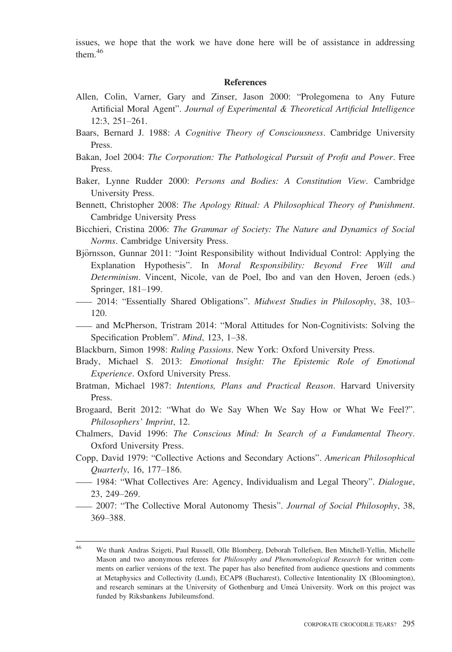issues, we hope that the work we have done here will be of assistance in addressing them $46$ 

#### **References**

- Allen, Colin, Varner, Gary and Zinser, Jason 2000: "Prolegomena to Any Future Artificial Moral Agent". Journal of Experimental & Theoretical Artificial Intelligence 12:3, 251–261.
- Baars, Bernard J. 1988: A Cognitive Theory of Consciousness. Cambridge University Press.
- Bakan, Joel 2004: The Corporation: The Pathological Pursuit of Profit and Power. Free Press.
- Baker, Lynne Rudder 2000: Persons and Bodies: A Constitution View. Cambridge University Press.
- Bennett, Christopher 2008: The Apology Ritual: A Philosophical Theory of Punishment. Cambridge University Press
- Bicchieri, Cristina 2006: The Grammar of Society: The Nature and Dynamics of Social Norms. Cambridge University Press.
- Björnsson, Gunnar 2011: "Joint Responsibility without Individual Control: Applying the Explanation Hypothesis". In Moral Responsibility: Beyond Free Will and Determinism. Vincent, Nicole, van de Poel, Ibo and van den Hoven, Jeroen (eds.) Springer, 181–199.
- <sup>2014:</sup> "Essentially Shared Obligations". Midwest Studies in Philosophy, 38, 103– 120.
- and McPherson, Tristram 2014: "Moral Attitudes for Non-Cognitivists: Solving the Specification Problem". Mind, 123, 1–38.
- Blackburn, Simon 1998: Ruling Passions. New York: Oxford University Press.
- Brady, Michael S. 2013: Emotional Insight: The Epistemic Role of Emotional Experience. Oxford University Press.
- Bratman, Michael 1987: Intentions, Plans and Practical Reason. Harvard University Press.
- Brogaard, Berit 2012: "What do We Say When We Say How or What We Feel?". Philosophers' Imprint, 12.
- Chalmers, David 1996: The Conscious Mind: In Search of a Fundamental Theory. Oxford University Press.
- Copp, David 1979: "Collective Actions and Secondary Actions". American Philosophical Quarterly, 16, 177–186.
- 1984: "What Collectives Are: Agency, Individualism and Legal Theory". Dialogue, 23, 249–269.
- 2007: "The Collective Moral Autonomy Thesis". Journal of Social Philosophy, 38, 369–388.

<sup>46</sup> We thank Andras Szigeti, Paul Russell, Olle Blomberg, Deborah Tollefsen, Ben Mitchell-Yellin, Michelle Mason and two anonymous referees for *Philosophy and Phenomenological Research* for written comments on earlier versions of the text. The paper has also benefited from audience questions and comments at Metaphysics and Collectivity (Lund), ECAP8 (Bucharest), Collective Intentionality IX (Bloomington), and research seminars at the University of Gothenburg and Umea University. Work on this project was funded by Riksbankens Jubileumsfond.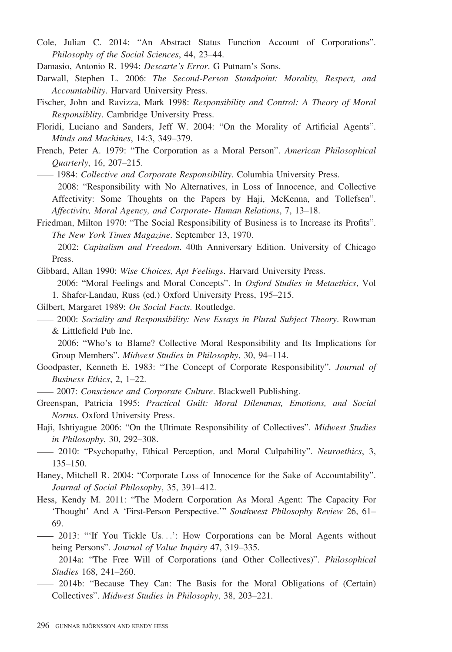Cole, Julian C. 2014: "An Abstract Status Function Account of Corporations". Philosophy of the Social Sciences, 44, 23–44.

Damasio, Antonio R. 1994: Descarte's Error. G Putnam's Sons.

- Darwall, Stephen L. 2006: The Second-Person Standpoint: Morality, Respect, and Accountability. Harvard University Press.
- Fischer, John and Ravizza, Mark 1998: Responsibility and Control: A Theory of Moral Responsiblity. Cambridge University Press.
- Floridi, Luciano and Sanders, Jeff W. 2004: "On the Morality of Artificial Agents". Minds and Machines, 14:3, 349–379.
- French, Peter A. 1979: "The Corporation as a Moral Person". American Philosophical Quarterly, 16, 207–215.
- 1984: Collective and Corporate Responsibility. Columbia University Press.
- 2008: "Responsibility with No Alternatives, in Loss of Innocence, and Collective Affectivity: Some Thoughts on the Papers by Haji, McKenna, and Tollefsen". Affectivity, Moral Agency, and Corporate- Human Relations, 7, 13–18.
- Friedman, Milton 1970: "The Social Responsibility of Business is to Increase its Profits". The New York Times Magazine. September 13, 1970.
- **2002: Capitalism and Freedom. 40th Anniversary Edition. University of Chicago** Press.
- Gibbard, Allan 1990: Wise Choices, Apt Feelings. Harvard University Press.
- 2006: "Moral Feelings and Moral Concepts". In *Oxford Studies in Metaethics*, Vol 1. Shafer-Landau, Russ (ed.) Oxford University Press, 195–215.
- Gilbert, Margaret 1989: On Social Facts. Routledge.
- <sup>2000:</sup> Sociality and Responsibility: New Essays in Plural Subject Theory. Rowman & Littlefield Pub Inc.
- 2006: "Who's to Blame? Collective Moral Responsibility and Its Implications for Group Members". Midwest Studies in Philosophy, 30, 94–114.
- Goodpaster, Kenneth E. 1983: "The Concept of Corporate Responsibility". Journal of Business Ethics, 2, 1–22.
	- 2007: Conscience and Corporate Culture. Blackwell Publishing.
- Greenspan, Patricia 1995: Practical Guilt: Moral Dilemmas, Emotions, and Social Norms. Oxford University Press.
- Haji, Ishtiyague 2006: "On the Ultimate Responsibility of Collectives". Midwest Studies in Philosophy, 30, 292–308.
- 2010: "Psychopathy, Ethical Perception, and Moral Culpability". Neuroethics, 3, 135–150.
- Haney, Mitchell R. 2004: "Corporate Loss of Innocence for the Sake of Accountability". Journal of Social Philosophy, 35, 391–412.
- Hess, Kendy M. 2011: "The Modern Corporation As Moral Agent: The Capacity For 'Thought' And A 'First-Person Perspective.'" Southwest Philosophy Review 26, 61– 69.
- **2013: "'If You Tickle Us...': How Corporations can be Moral Agents without** being Persons". Journal of Value Inquiry 47, 319-335.
- <sup>2014a: "The Free Will of Corporations (and Other Collectives)". *Philosophical*</sup> Studies 168, 241–260.
- 2014b: "Because They Can: The Basis for the Moral Obligations of (Certain) Collectives". Midwest Studies in Philosophy, 38, 203–221.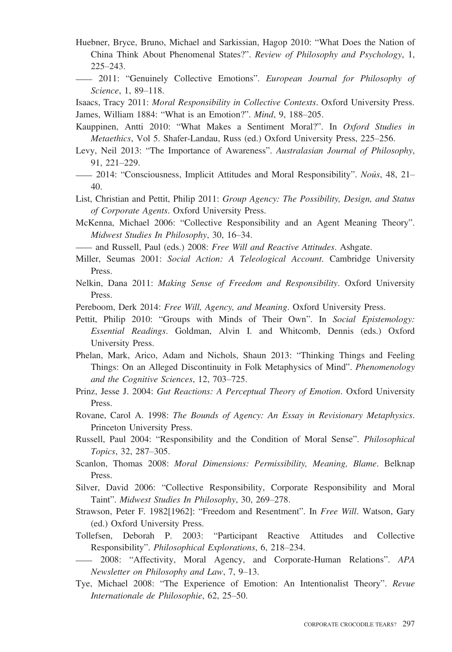- Huebner, Bryce, Bruno, Michael and Sarkissian, Hagop 2010: "What Does the Nation of China Think About Phenomenal States?". Review of Philosophy and Psychology, 1, 225–243.
- **2011: "Genuinely Collective Emotions". European Journal for Philosophy of** Science, 1, 89–118.

Isaacs, Tracy 2011: Moral Responsibility in Collective Contexts. Oxford University Press.

James, William 1884: "What is an Emotion?". Mind, 9, 188–205.

- Kauppinen, Antti 2010: "What Makes a Sentiment Moral?". In Oxford Studies in Metaethics, Vol 5. Shafer-Landau, Russ (ed.) Oxford University Press, 225–256.
- Levy, Neil 2013: "The Importance of Awareness". Australasian Journal of Philosophy, 91, 221–229.
- 2014: "Consciousness, Implicit Attitudes and Moral Responsibility". Noûs, 48, 21– 40.
- List, Christian and Pettit, Philip 2011: Group Agency: The Possibility, Design, and Status of Corporate Agents. Oxford University Press.
- McKenna, Michael 2006: "Collective Responsibility and an Agent Meaning Theory". Midwest Studies In Philosophy, 30, 16–34.
- and Russell, Paul (eds.) 2008: Free Will and Reactive Attitudes. Ashgate.
- Miller, Seumas 2001: Social Action: A Teleological Account. Cambridge University Press.
- Nelkin, Dana 2011: Making Sense of Freedom and Responsibility. Oxford University Press.
- Pereboom, Derk 2014: Free Will, Agency, and Meaning. Oxford University Press.
- Pettit, Philip 2010: "Groups with Minds of Their Own". In Social Epistemology: Essential Readings. Goldman, Alvin I. and Whitcomb, Dennis (eds.) Oxford University Press.
- Phelan, Mark, Arico, Adam and Nichols, Shaun 2013: "Thinking Things and Feeling Things: On an Alleged Discontinuity in Folk Metaphysics of Mind". *Phenomenology* and the Cognitive Sciences, 12, 703–725.
- Prinz, Jesse J. 2004: Gut Reactions: A Perceptual Theory of Emotion. Oxford University Press.
- Rovane, Carol A. 1998: The Bounds of Agency: An Essay in Revisionary Metaphysics. Princeton University Press.
- Russell, Paul 2004: "Responsibility and the Condition of Moral Sense". Philosophical Topics, 32, 287–305.
- Scanlon, Thomas 2008: Moral Dimensions: Permissibility, Meaning, Blame. Belknap Press.
- Silver, David 2006: "Collective Responsibility, Corporate Responsibility and Moral Taint". Midwest Studies In Philosophy, 30, 269–278.
- Strawson, Peter F. 1982[1962]: "Freedom and Resentment". In Free Will. Watson, Gary (ed.) Oxford University Press.
- Tollefsen, Deborah P. 2003: "Participant Reactive Attitudes and Collective Responsibility". Philosophical Explorations, 6, 218–234.
- 2008: "Affectivity, Moral Agency, and Corporate-Human Relations". APA Newsletter on Philosophy and Law, 7, 9–13.
- Tye, Michael 2008: "The Experience of Emotion: An Intentionalist Theory". Revue Internationale de Philosophie, 62, 25–50.